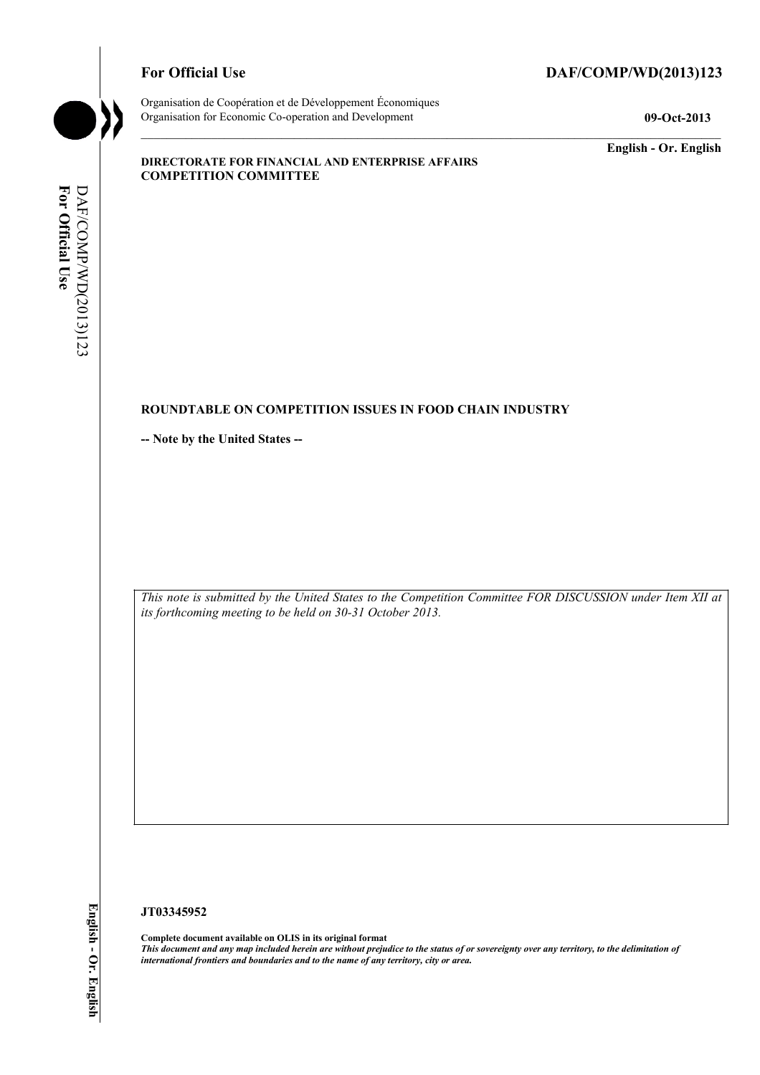# For Official Use DAF/COMP/WD(2013)123



Organisation de Coopération et de Développement Économiques Organisation for Economic Co-operation and Development **09-Oct-2013** 

**English - Or. English** 

#### **DIRECTORATE FOR FINANCIAL AND ENTERPRISE AFFAIRS COMPETITION COMMITTEE**

# For Official Use DAF/COMP/WD(2013)123 **For Official Use**  DAF/COMP/WD(2013)123

# **ROUNDTABLE ON COMPETITION ISSUES IN FOOD CHAIN INDUSTRY**

**-- Note by the United States --** 

 *This note is submitted by the United States to the Competition Committee FOR DISCUSSION under Item XII at its forthcoming meeting to be held on 30-31 October 2013.* 

### **JT03345952**

 **Complete document available on OLIS in its original format**   *This document and any map included herein are without prejudice to the status of or sovereignty over any territory, to the delimitation of international frontiers and boundaries and to the name of any territory, city or area.*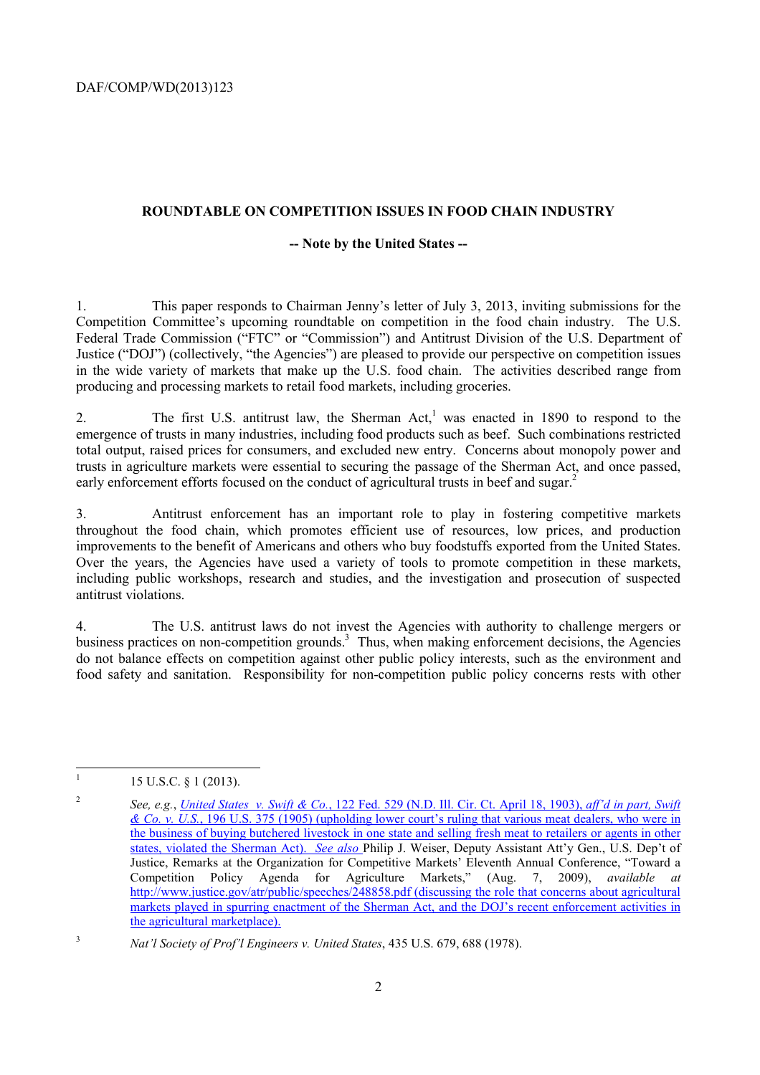#### **ROUNDTABLE ON COMPETITION ISSUES IN FOOD CHAIN INDUSTRY**

#### **-- Note by the United States --**

 Competition Committee's upcoming roundtable on competition in the food chain industry. The U.S. 1. This paper responds to Chairman Jenny's letter of July 3, 2013, inviting submissions for the Federal Trade Commission ("FTC" or "Commission") and Antitrust Division of the U.S. Department of Justice ("DOJ") (collectively, "the Agencies") are pleased to provide our perspective on competition issues in the wide variety of markets that make up the U.S. food chain. The activities described range from producing and processing markets to retail food markets, including groceries.

2. The first U.S. antitrust law, the Sherman Act,<sup>1</sup> was enacted in 1890 to respond to the emergence of trusts in many industries, including food products such as beef. Such combinations restricted total output, raised prices for consumers, and excluded new entry. Concerns about monopoly power and trusts in agriculture markets were essential to securing the passage of the Sherman Act, and once passed, early enforcement efforts focused on the conduct of agricultural trusts in beef and sugar.<sup>2</sup>

 improvements to the benefit of Americans and others who buy foodstuffs exported from the United States. Over the years, the Agencies have used a variety of tools to promote competition in these markets, 3. Antitrust enforcement has an important role to play in fostering competitive markets throughout the food chain, which promotes efficient use of resources, low prices, and production including public workshops, research and studies, and the investigation and prosecution of suspected antitrust violations.

4. The U.S. antitrust laws do not invest the Agencies with authority to challenge mergers or business practices on non-competition grounds.<sup>3</sup> Thus, when making enforcement decisions, the Agencies do not balance effects on competition against other public policy interests, such as the environment and food safety and sanitation. Responsibility for non-competition public policy concerns rests with other

<sup>15</sup> U.S.C. § 1 (2013).

 the business of buying butchered livestock in one state and selling fresh meat to retailers or agents in other <sup>2</sup>*See, e.g.*, *United States v. Swift & Co.*, 122 Fed. 529 (N.D. Ill. Cir. Ct. April 18, 1903), *aff'd in part, Swift & Co. v. U.S.*, 196 U.S. 375 (1905) (upholding lower court's ruling that various meat dealers, who were in states, violated the Sherman Act). *See also* Philip J. Weiser, Deputy Assistant Att'y Gen., U.S. Dep't of Justice, Remarks at the Organization for Competitive Markets' Eleventh Annual Conference, "Toward a Competition Policy Agenda for Agriculture Markets," (Aug. 7, 2009), *available at*  http://www.justice.gov/atr/public/speeches/248858.pdf (discussing the role that concerns about agricultural markets played in spurring enactment of the Sherman Act, and the DOJ's recent enforcement activities in the agricultural marketplace).

<sup>3</sup>*Nat'l Society of Prof'l Engineers v. United States*, 435 U.S. 679, 688 (1978).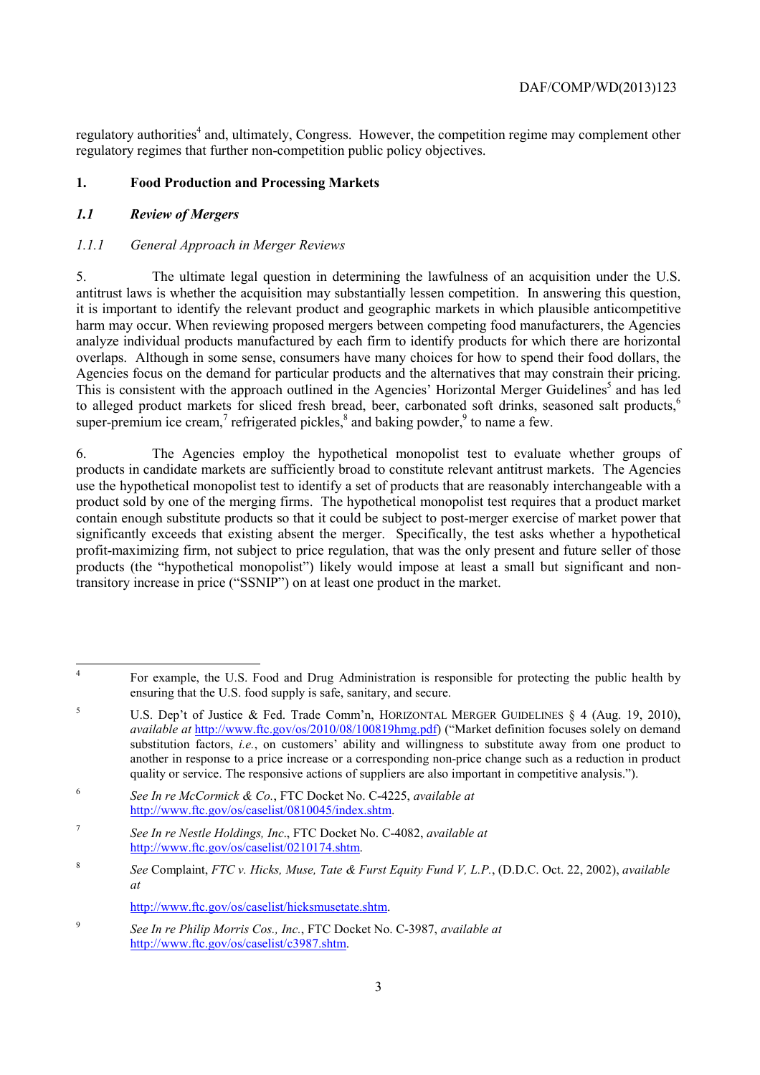regulatory authorities<sup>4</sup> and, ultimately, Congress. However, the competition regime may complement other regulatory regimes that further non-competition public policy objectives.

# **1. Food Production and Processing Markets**

# *1.1 Review of Mergers*

# *1.1.1 General Approach in Merger Reviews*

 analyze individual products manufactured by each firm to identify products for which there are horizontal Agencies focus on the demand for particular products and the alternatives that may constrain their pricing. 5. The ultimate legal question in determining the lawfulness of an acquisition under the U.S. antitrust laws is whether the acquisition may substantially lessen competition. In answering this question, it is important to identify the relevant product and geographic markets in which plausible anticompetitive harm may occur. When reviewing proposed mergers between competing food manufacturers, the Agencies overlaps. Although in some sense, consumers have many choices for how to spend their food dollars, the Agencies focus on the demand for particular products and the alternatives that may constrain their pricing.<br>This is consistent with the approach outlined in the Agencies' Horizontal Merger Guidelines<sup>5</sup> and has led to alleged product markets for sliced fresh bread, beer, carbonated soft drinks, seasoned salt products.<sup>6</sup> super-premium ice cream,<sup>7</sup> refrigerated pickles, $\delta$  and baking powder, $\delta$  to name a few.

6. The Agencies employ the hypothetical monopolist test to evaluate whether groups of products in candidate markets are sufficiently broad to constitute relevant antitrust markets. The Agencies use the hypothetical monopolist test to identify a set of products that are reasonably interchangeable with a product sold by one of the merging firms. The hypothetical monopolist test requires that a product market contain enough substitute products so that it could be subject to post-merger exercise of market power that significantly exceeds that existing absent the merger. Specifically, the test asks whether a hypothetical profit-maximizing firm, not subject to price regulation, that was the only present and future seller of those products (the "hypothetical monopolist") likely would impose at least a small but significant and nontransitory increase in price ("SSNIP") on at least one product in the market.

<sup>7</sup>*See In re Nestle Holdings, Inc*., FTC Docket No. C-4082, *available at*  http://www.ftc.gov/os/caselist/0210174.shtm.

http://www.ftc.gov/os/caselist/hicksmusetate.shtm.

 $\overline{A}$ 4 For example, the U.S. Food and Drug Administration is responsible for protecting the public health by ensuring that the U.S. food supply is safe, sanitary, and secure.

<sup>&</sup>lt;sup>5</sup> U.S. Dep't of Justice & Fed. Trade Comm'n, HORIZONTAL MERGER GUIDELINES § 4 (Aug. 19, 2010), *available at* http://www.ftc.gov/os/2010/08/100819hmg.pdf) ("Market definition focuses solely on demand substitution factors, *i.e.*, on customers' ability and willingness to substitute away from one product to another in response to a price increase or a corresponding non-price change such as a reduction in product quality or service. The responsive actions of suppliers are also important in competitive analysis.").

<sup>6</sup>*See In re McCormick & Co.*, FTC Docket No. C-4225, *available at*  http://www.ftc.gov/os/caselist/0810045/index.shtm.

 *at* <sup>8</sup>*See* Complaint, *FTC v. Hicks, Muse, Tate & Furst Equity Fund V, L.P.*, (D.D.C. Oct. 22, 2002), *available* 

<sup>9</sup>*See In re Philip Morris Cos., Inc.*, FTC Docket No. C-3987, *available at*  http://www.ftc.gov/os/caselist/c3987.shtm.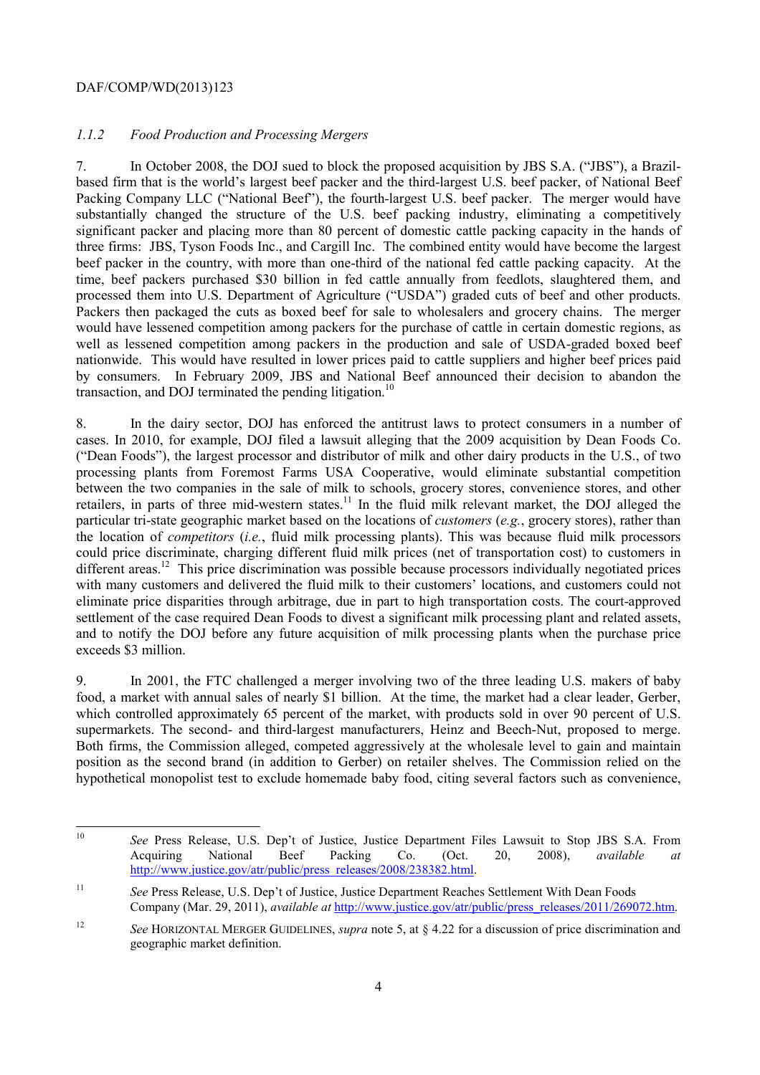### *1.1.2 Food Production and Processing Mergers*

 beef packer in the country, with more than one-third of the national fed cattle packing capacity. At the processed them into U.S. Department of Agriculture ("USDA") graded cuts of beef and other products. Packers then packaged the cuts as boxed beef for sale to wholesalers and grocery chains. The merger 7. In October 2008, the DOJ sued to block the proposed acquisition by JBS S.A. ("JBS"), a Brazilbased firm that is the world's largest beef packer and the third-largest U.S. beef packer, of National Beef Packing Company LLC ("National Beef"), the fourth-largest U.S. beef packer. The merger would have substantially changed the structure of the U.S. beef packing industry, eliminating a competitively significant packer and placing more than 80 percent of domestic cattle packing capacity in the hands of three firms: JBS, Tyson Foods Inc., and Cargill Inc. The combined entity would have become the largest time, beef packers purchased \$30 billion in fed cattle annually from feedlots, slaughtered them, and would have lessened competition among packers for the purchase of cattle in certain domestic regions, as well as lessened competition among packers in the production and sale of USDA-graded boxed beef nationwide. This would have resulted in lower prices paid to cattle suppliers and higher beef prices paid by consumers. In February 2009, JBS and National Beef announced their decision to abandon the transaction, and DOJ terminated the pending litigation.<sup>10</sup>

 with many customers and delivered the fluid milk to their customers' locations, and customers could not 8. In the dairy sector, DOJ has enforced the antitrust laws to protect consumers in a number of cases. In 2010, for example, DOJ filed a lawsuit alleging that the 2009 acquisition by Dean Foods Co. ("Dean Foods"), the largest processor and distributor of milk and other dairy products in the U.S., of two processing plants from Foremost Farms USA Cooperative, would eliminate substantial competition between the two companies in the sale of milk to schools, grocery stores, convenience stores, and other retailers, in parts of three mid-western states.<sup>11</sup> In the fluid milk relevant market, the DOJ alleged the particular tri-state geographic market based on the locations of *customers* (*e.g.*, grocery stores), rather than the location of *competitors* (*i.e.*, fluid milk processing plants). This was because fluid milk processors could price discriminate, charging different fluid milk prices (net of transportation cost) to customers in different areas.<sup>12</sup> This price discrimination was possible because processors individually negotiated prices eliminate price disparities through arbitrage, due in part to high transportation costs. The court-approved settlement of the case required Dean Foods to divest a significant milk processing plant and related assets, and to notify the DOJ before any future acquisition of milk processing plants when the purchase price exceeds \$3 million.

supermarkets. The second- and third-largest manufacturers, Heinz and Beech-Nut, proposed to merge. 9. In 2001, the FTC challenged a merger involving two of the three leading U.S. makers of baby food, a market with annual sales of nearly \$1 billion. At the time, the market had a clear leader, Gerber, which controlled approximately 65 percent of the market, with products sold in over 90 percent of U.S. Both firms, the Commission alleged, competed aggressively at the wholesale level to gain and maintain position as the second brand (in addition to Gerber) on retailer shelves. The Commission relied on the hypothetical monopolist test to exclude homemade baby food, citing several factors such as convenience,

 $\overline{a}$ <sup>10</sup>*See* Press Release, U.S. Dep't of Justice, Justice Department Files Lawsuit to Stop JBS S.A. From Acquiring National Beef Packing Co. (Oct. 20, 2008), *available at*  http://www.justice.gov/atr/public/press\_releases/2008/238382.html.

 $11$ <sup>11</sup>*See* Press Release, U.S. Dep't of Justice, Justice Department Reaches Settlement With Dean Foods Company (Mar. 29, 2011), *available at* http://www.justice.gov/atr/public/press\_releases/2011/269072.htm.

<sup>12</sup>*See* HORIZONTAL MERGER GUIDELINES, *supra* note 5, at § 4.22 for a discussion of price discrimination and geographic market definition.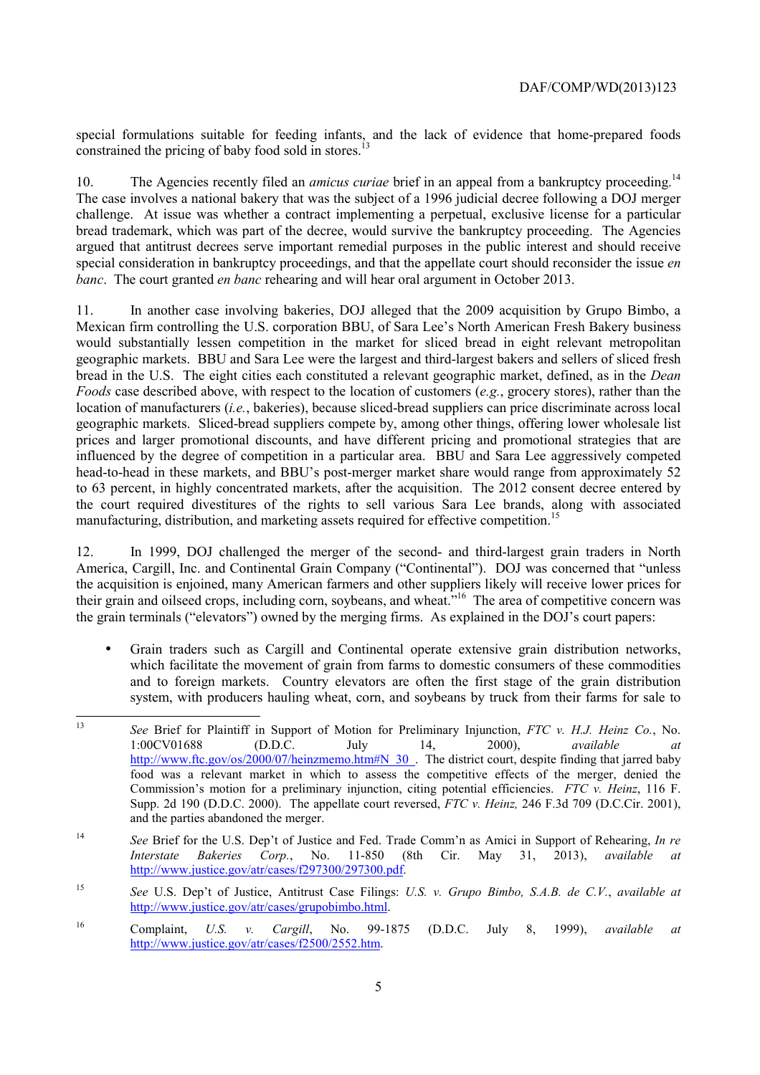special formulations suitable for feeding infants, and the lack of evidence that home-prepared foods constrained the pricing of baby food sold in stores.<sup>13</sup>

10. The Agencies recently filed an *amicus curiae* brief in an appeal from a bankruptcy proceeding.<sup>14</sup> *banc*. The court granted *en banc* rehearing and will hear oral argument in October 2013. The case involves a national bakery that was the subject of a 1996 judicial decree following a DOJ merger challenge. At issue was whether a contract implementing a perpetual, exclusive license for a particular bread trademark, which was part of the decree, would survive the bankruptcy proceeding. The Agencies argued that antitrust decrees serve important remedial purposes in the public interest and should receive special consideration in bankruptcy proceedings, and that the appellate court should reconsider the issue *en* 

 *Foods* case described above, with respect to the location of customers (*e.g.*, grocery stores), rather than the to 63 percent, in highly concentrated markets, after the acquisition. The 2012 consent decree entered by 11. In another case involving bakeries, DOJ alleged that the 2009 acquisition by Grupo Bimbo, a Mexican firm controlling the U.S. corporation BBU, of Sara Lee's North American Fresh Bakery business would substantially lessen competition in the market for sliced bread in eight relevant metropolitan geographic markets. BBU and Sara Lee were the largest and third-largest bakers and sellers of sliced fresh bread in the U.S. The eight cities each constituted a relevant geographic market, defined, as in the *Dean*  location of manufacturers (*i.e.*, bakeries), because sliced-bread suppliers can price discriminate across local geographic markets. Sliced-bread suppliers compete by, among other things, offering lower wholesale list prices and larger promotional discounts, and have different pricing and promotional strategies that are influenced by the degree of competition in a particular area. BBU and Sara Lee aggressively competed head-to-head in these markets, and BBU's post-merger market share would range from approximately 52 the court required divestitures of the rights to sell various Sara Lee brands, along with associated manufacturing, distribution, and marketing assets required for effective competition.<sup>15</sup>

12. In 1999, DOJ challenged the merger of the second- and third-largest grain traders in North America, Cargill, Inc. and Continental Grain Company ("Continental"). DOJ was concerned that "unless the acquisition is enjoined, many American farmers and other suppliers likely will receive lower prices for their grain and oilseed crops, including corn, soybeans, and wheat."<sup>16</sup> The area of competitive concern was the grain terminals ("elevators") owned by the merging firms. As explained in the DOJ's court papers:

• Grain traders such as Cargill and Continental operate extensive grain distribution networks, which facilitate the movement of grain from farms to domestic consumers of these commodities and to foreign markets. Country elevators are often the first stage of the grain distribution system, with producers hauling wheat, corn, and soybeans by truck from their farms for sale to

 $13$  food was a relevant market in which to assess the competitive effects of the merger, denied the <sup>13</sup>*See* Brief for Plaintiff in Support of Motion for Preliminary Injunction, *FTC v. H.J. Heinz Co.*, No. 1:00CV01688 (D.D.C. July 14, 2000), *available at*  http://www.ftc.gov/os/2000/07/heinzmemo.htm#N\_30\_. The district court, despite finding that jarred baby Commission's motion for a preliminary injunction, citing potential efficiencies. *FTC v. Heinz*, 116 F. Supp. 2d 190 (D.D.C. 2000). The appellate court reversed, *FTC v. Heinz,* 246 F.3d 709 (D.C.Cir. 2001), and the parties abandoned the merger.

<sup>14</sup>*See* Brief for the U.S. Dep't of Justice and Fed. Trade Comm'n as Amici in Support of Rehearing, *In re Interstate Bakeries Corp.*, No. 11-850 (8th Cir. May 31, 2013), *available at*  http://www.justice.gov/atr/cases/f297300/297300.pdf.

<sup>15</sup>*See* U.S. Dep't of Justice, Antitrust Case Filings: *U.S. v. Grupo Bimbo, S.A.B. de C.V.*, *available at*  http://www.justice.gov/atr/cases/grupobimbo.html.

<sup>16</sup> Complaint, *U.S. v. Cargill*, No. 99-1875 (D.D.C. July 8, 1999), *available at*  http://www.justice.gov/atr/cases/f2500/2552.htm.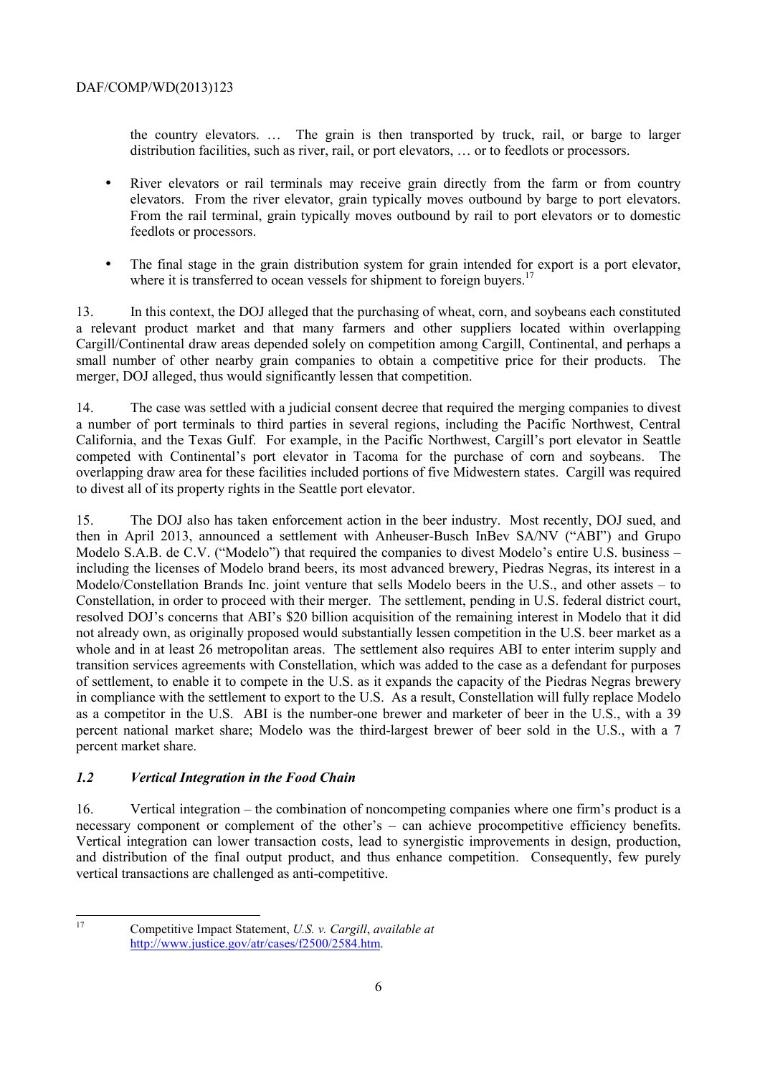the country elevators. … The grain is then transported by truck, rail, or barge to larger distribution facilities, such as river, rail, or port elevators, … or to feedlots or processors.

- elevators. From the river elevator, grain typically moves outbound by barge to port elevators. • River elevators or rail terminals may receive grain directly from the farm or from country From the rail terminal, grain typically moves outbound by rail to port elevators or to domestic feedlots or processors.
- The final stage in the grain distribution system for grain intended for export is a port elevator, where it is transferred to ocean vessels for shipment to foreign buyers.<sup>17</sup>

13. In this context, the DOJ alleged that the purchasing of wheat, corn, and soybeans each constituted a relevant product market and that many farmers and other suppliers located within overlapping Cargill/Continental draw areas depended solely on competition among Cargill, Continental, and perhaps a small number of other nearby grain companies to obtain a competitive price for their products. The merger, DOJ alleged, thus would significantly lessen that competition.

14. The case was settled with a judicial consent decree that required the merging companies to divest a number of port terminals to third parties in several regions, including the Pacific Northwest, Central California, and the Texas Gulf. For example, in the Pacific Northwest, Cargill's port elevator in Seattle competed with Continental's port elevator in Tacoma for the purchase of corn and soybeans. The overlapping draw area for these facilities included portions of five Midwestern states. Cargill was required to divest all of its property rights in the Seattle port elevator.

 resolved DOJ's concerns that ABI's \$20 billion acquisition of the remaining interest in Modelo that it did whole and in at least 26 metropolitan areas. The settlement also requires ABI to enter interim supply and 15. The DOJ also has taken enforcement action in the beer industry. Most recently, DOJ sued, and then in April 2013, announced a settlement with Anheuser-Busch InBev SA/NV ("ABI") and Grupo Modelo S.A.B. de C.V. ("Modelo") that required the companies to divest Modelo's entire U.S. business – including the licenses of Modelo brand beers, its most advanced brewery, Piedras Negras, its interest in a Modelo/Constellation Brands Inc. joint venture that sells Modelo beers in the U.S., and other assets – to Constellation, in order to proceed with their merger. The settlement, pending in U.S. federal district court, not already own, as originally proposed would substantially lessen competition in the U.S. beer market as a transition services agreements with Constellation, which was added to the case as a defendant for purposes of settlement, to enable it to compete in the U.S. as it expands the capacity of the Piedras Negras brewery in compliance with the settlement to export to the U.S. As a result, Constellation will fully replace Modelo as a competitor in the U.S. ABI is the number-one brewer and marketer of beer in the U.S., with a 39 percent national market share; Modelo was the third-largest brewer of beer sold in the U.S., with a 7 percent market share.

# *1.2 Vertical Integration in the Food Chain*

necessary component or complement of the other's – can achieve procompetitive efficiency benefits. 16. Vertical integration – the combination of noncompeting companies where one firm's product is a Vertical integration can lower transaction costs, lead to synergistic improvements in design, production, and distribution of the final output product, and thus enhance competition. Consequently, few purely vertical transactions are challenged as anti-competitive.

 17

Competitive Impact Statement, *U.S. v. Cargill*, *available at*  http://www.justice.gov/atr/cases/f2500/2584.htm.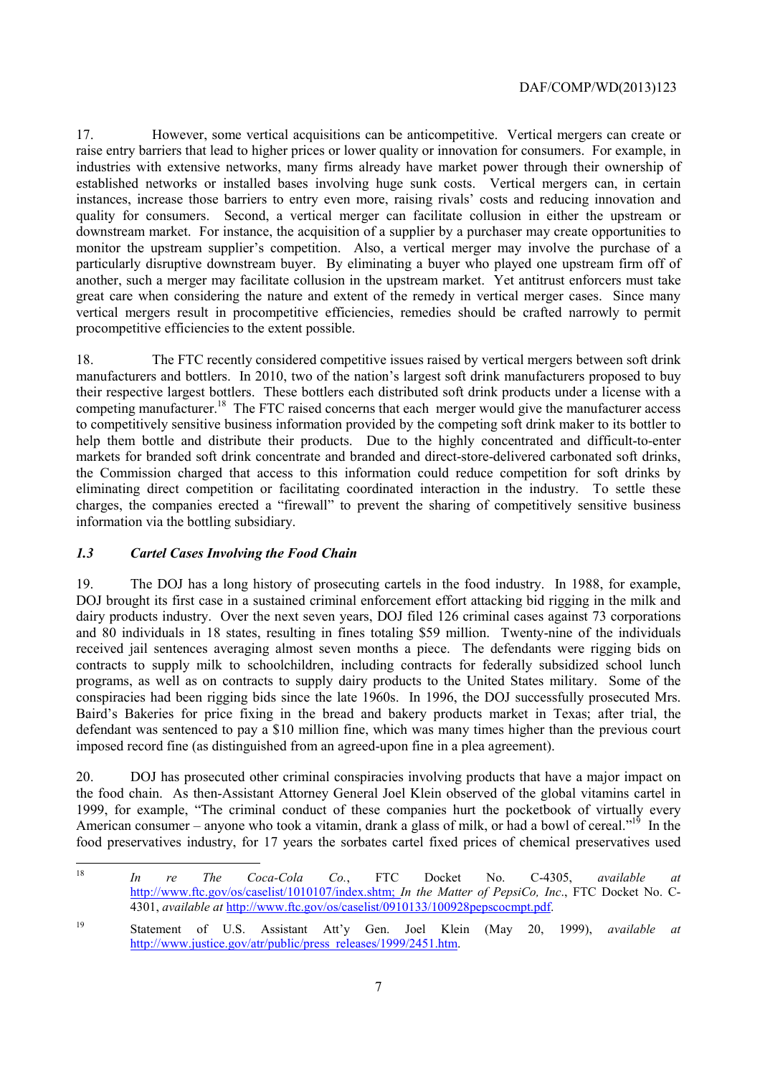procompetitive efficiencies to the extent possible. 17. However, some vertical acquisitions can be anticompetitive. Vertical mergers can create or raise entry barriers that lead to higher prices or lower quality or innovation for consumers. For example, in industries with extensive networks, many firms already have market power through their ownership of established networks or installed bases involving huge sunk costs. Vertical mergers can, in certain instances, increase those barriers to entry even more, raising rivals' costs and reducing innovation and quality for consumers. Second, a vertical merger can facilitate collusion in either the upstream or downstream market. For instance, the acquisition of a supplier by a purchaser may create opportunities to monitor the upstream supplier's competition. Also, a vertical merger may involve the purchase of a particularly disruptive downstream buyer. By eliminating a buyer who played one upstream firm off of another, such a merger may facilitate collusion in the upstream market. Yet antitrust enforcers must take great care when considering the nature and extent of the remedy in vertical merger cases. Since many vertical mergers result in procompetitive efficiencies, remedies should be crafted narrowly to permit

 manufacturers and bottlers. In 2010, two of the nation's largest soft drink manufacturers proposed to buy eliminating direct competition or facilitating coordinated interaction in the industry. To settle these 18. The FTC recently considered competitive issues raised by vertical mergers between soft drink their respective largest bottlers. These bottlers each distributed soft drink products under a license with a competing manufacturer.<sup>18</sup> The FTC raised concerns that each merger would give the manufacturer access to competitively sensitive business information provided by the competing soft drink maker to its bottler to help them bottle and distribute their products. Due to the highly concentrated and difficult-to-enter markets for branded soft drink concentrate and branded and direct-store-delivered carbonated soft drinks, the Commission charged that access to this information could reduce competition for soft drinks by charges, the companies erected a "firewall" to prevent the sharing of competitively sensitive business information via the bottling subsidiary.

# *1.3 Cartel Cases Involving the Food Chain*

 and 80 individuals in 18 states, resulting in fines totaling \$59 million. Twenty-nine of the individuals 19. The DOJ has a long history of prosecuting cartels in the food industry. In 1988, for example, DOJ brought its first case in a sustained criminal enforcement effort attacking bid rigging in the milk and dairy products industry. Over the next seven years, DOJ filed 126 criminal cases against 73 corporations received jail sentences averaging almost seven months a piece. The defendants were rigging bids on contracts to supply milk to schoolchildren, including contracts for federally subsidized school lunch programs, as well as on contracts to supply dairy products to the United States military. Some of the conspiracies had been rigging bids since the late 1960s. In 1996, the DOJ successfully prosecuted Mrs. Baird's Bakeries for price fixing in the bread and bakery products market in Texas; after trial, the defendant was sentenced to pay a \$10 million fine, which was many times higher than the previous court imposed record fine (as distinguished from an agreed-upon fine in a plea agreement).

 20. DOJ has prosecuted other criminal conspiracies involving products that have a major impact on American consumer – anyone who took a vitamin, drank a glass of milk, or had a bowl of cereal."<sup>19</sup> In the the food chain. As then-Assistant Attorney General Joel Klein observed of the global vitamins cartel in 1999, for example, "The criminal conduct of these companies hurt the pocketbook of virtually every food preservatives industry, for 17 years the sorbates cartel fixed prices of chemical preservatives used

 <sup>18</sup>*In re The Coca-Cola Co.*, FTC Docket No. C-4305, *available at*  http://www.ftc.gov/os/caselist/1010107/index.shtm; *In the Matter of PepsiCo, Inc*., FTC Docket No. C-4301, *available at* http://www.ftc.gov/os/caselist/0910133/100928pepscocmpt.pdf.

<sup>19</sup> Statement of U.S. Assistant Att'y Gen. Joel Klein (May 20, 1999), *available at*  http://www.justice.gov/atr/public/press\_releases/1999/2451.htm.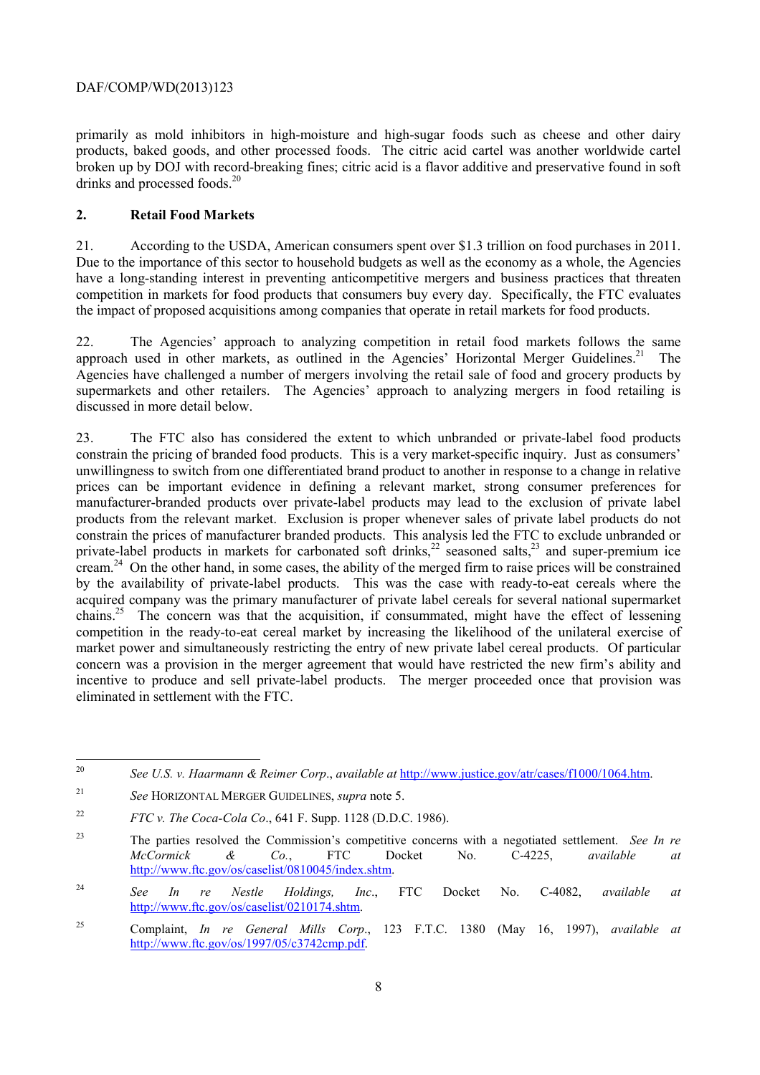products, baked goods, and other processed foods. The citric acid cartel was another worldwide cartel primarily as mold inhibitors in high-moisture and high-sugar foods such as cheese and other dairy broken up by DOJ with record-breaking fines; citric acid is a flavor additive and preservative found in soft drinks and processed foods.<sup>20</sup>

### **2. Retail Food Markets**

21. According to the USDA, American consumers spent over \$1.3 trillion on food purchases in 2011. Due to the importance of this sector to household budgets as well as the economy as a whole, the Agencies have a long-standing interest in preventing anticompetitive mergers and business practices that threaten competition in markets for food products that consumers buy every day. Specifically, the FTC evaluates the impact of proposed acquisitions among companies that operate in retail markets for food products.

approach used in other markets, as outlined in the Agencies' Horizontal Merger Guidelines.<sup>21</sup> The supermarkets and other retailers. The Agencies' approach to analyzing mergers in food retailing is 22. The Agencies' approach to analyzing competition in retail food markets follows the same Agencies have challenged a number of mergers involving the retail sale of food and grocery products by discussed in more detail below.

 constrain the prices of manufacturer branded products. This analysis led the FTC to exclude unbranded or eliminated in settlement with the FTC. 23. The FTC also has considered the extent to which unbranded or private-label food products constrain the pricing of branded food products. This is a very market-specific inquiry. Just as consumers' unwillingness to switch from one differentiated brand product to another in response to a change in relative prices can be important evidence in defining a relevant market, strong consumer preferences for manufacturer-branded products over private-label products may lead to the exclusion of private label products from the relevant market. Exclusion is proper whenever sales of private label products do not private-label products in markets for carbonated soft drinks,<sup>22</sup> seasoned salts,<sup>23</sup> and super-premium ice cream.24 On the other hand, in some cases, the ability of the merged firm to raise prices will be constrained by the availability of private-label products. This was the case with ready-to-eat cereals where the acquired company was the primary manufacturer of private label cereals for several national supermarket chains.<sup>25</sup> The concern was that the acquisition, if consummated, might have the effect of lessening competition in the ready-to-eat cereal market by increasing the likelihood of the unilateral exercise of market power and simultaneously restricting the entry of new private label cereal products. Of particular concern was a provision in the merger agreement that would have restricted the new firm's ability and incentive to produce and sell private-label products. The merger proceeded once that provision was

 $20^{\circ}$ See U.S. v. Haarmann & Reimer Corp., *available at http://www.justice.gov/atr/cases/f1000/1064.htm.* 

 $21$ <sup>21</sup>*See* HORIZONTAL MERGER GUIDELINES, *supra* note 5.

<sup>22</sup>*FTC v. The Coca-Cola Co*., 641 F. Supp. 1128 (D.D.C. 1986).

<sup>23</sup> The parties resolved the Commission's competitive concerns with a negotiated settlement. *See In re McCormick & Co.*, FTC Docket No. C-4225, *available at*  http://www.ftc.gov/os/caselist/0810045/index.shtm.

<sup>24</sup>*See In re Nestle Holdings, Inc*., FTC Docket No. C-4082, *available at*  http://www.ftc.gov/os/caselist/0210174.shtm.

<sup>25</sup> Complaint, *In re General Mills Corp*., 123 F.T.C. 1380 (May 16, 1997), *available at*  http://www.ftc.gov/os/1997/05/c3742cmp.pdf.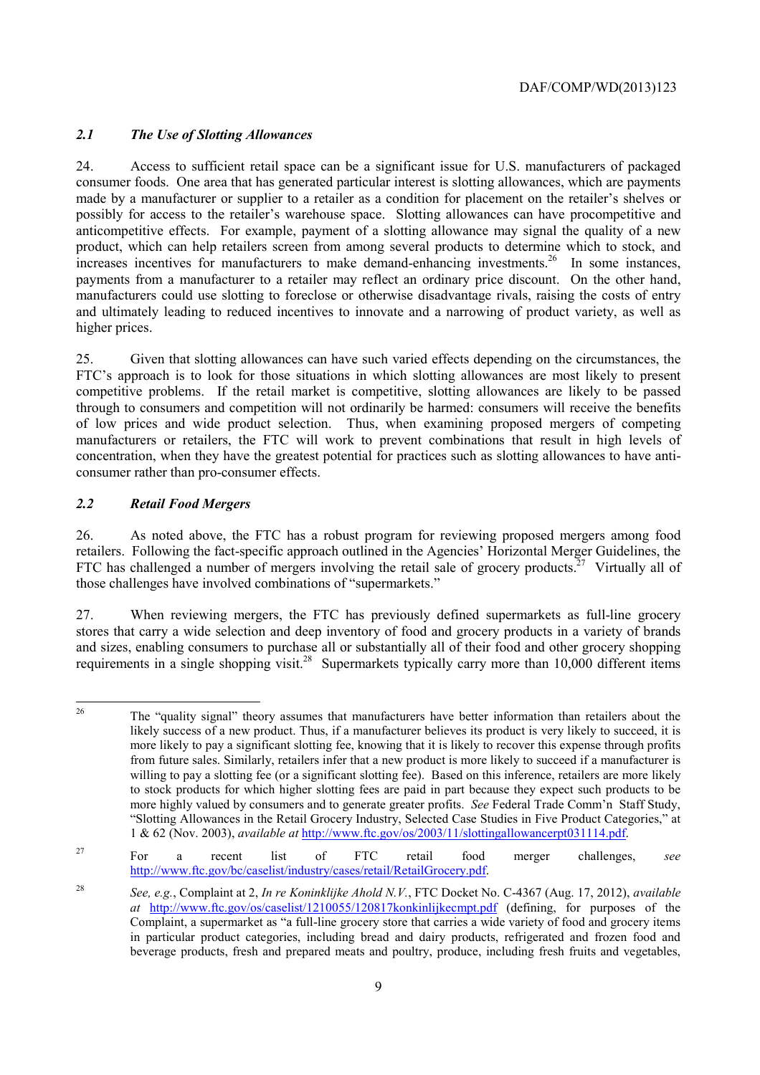# *2.1 The Use of Slotting Allowances*

24. Access to sufficient retail space can be a significant issue for U.S. manufacturers of packaged consumer foods. One area that has generated particular interest is slotting allowances, which are payments made by a manufacturer or supplier to a retailer as a condition for placement on the retailer's shelves or possibly for access to the retailer's warehouse space. Slotting allowances can have procompetitive and anticompetitive effects. For example, payment of a slotting allowance may signal the quality of a new product, which can help retailers screen from among several products to determine which to stock, and increases incentives for manufacturers to make demand-enhancing investments.<sup>26</sup> In some instances, payments from a manufacturer to a retailer may reflect an ordinary price discount. On the other hand, manufacturers could use slotting to foreclose or otherwise disadvantage rivals, raising the costs of entry and ultimately leading to reduced incentives to innovate and a narrowing of product variety, as well as higher prices.

25. Given that slotting allowances can have such varied effects depending on the circumstances, the FTC's approach is to look for those situations in which slotting allowances are most likely to present competitive problems. If the retail market is competitive, slotting allowances are likely to be passed through to consumers and competition will not ordinarily be harmed: consumers will receive the benefits of low prices and wide product selection. Thus, when examining proposed mergers of competing manufacturers or retailers, the FTC will work to prevent combinations that result in high levels of concentration, when they have the greatest potential for practices such as slotting allowances to have anticonsumer rather than pro-consumer effects.

# *2.2 Retail Food Mergers*

26. As noted above, the FTC has a robust program for reviewing proposed mergers among food retailers. Following the fact-specific approach outlined in the Agencies' Horizontal Merger Guidelines, the FTC has challenged a number of mergers involving the retail sale of grocery products.<sup>27</sup> Virtually all of those challenges have involved combinations of "supermarkets."

27. When reviewing mergers, the FTC has previously defined supermarkets as full-line grocery stores that carry a wide selection and deep inventory of food and grocery products in a variety of brands and sizes, enabling consumers to purchase all or substantially all of their food and other grocery shopping requirements in a single shopping visit.<sup>28</sup> Supermarkets typically carry more than 10,000 different items

 $\overline{a}$  more highly valued by consumers and to generate greater profits. *See* Federal Trade Comm'n Staff Study, 26 The "quality signal" theory assumes that manufacturers have better information than retailers about the likely success of a new product. Thus, if a manufacturer believes its product is very likely to succeed, it is more likely to pay a significant slotting fee, knowing that it is likely to recover this expense through profits from future sales. Similarly, retailers infer that a new product is more likely to succeed if a manufacturer is willing to pay a slotting fee (or a significant slotting fee). Based on this inference, retailers are more likely to stock products for which higher slotting fees are paid in part because they expect such products to be "Slotting Allowances in the Retail Grocery Industry, Selected Case Studies in Five Product Categories," at 1 & 62 (Nov. 2003), *available at* http://www.ftc.gov/os/2003/11/slottingallowancerpt031114.pdf.

<sup>27</sup> For a recent list of FTC retail food merger challenges, *see*  http://www.ftc.gov/bc/caselist/industry/cases/retail/RetailGrocery.pdf.

<sup>28</sup>  in particular product categories, including bread and dairy products, refrigerated and frozen food and beverage products, fresh and prepared meats and poultry, produce, including fresh fruits and vegetables, <sup>28</sup>*See, e.g.*, Complaint at 2, *In re Koninklijke Ahold N.V.*, FTC Docket No. C-4367 (Aug. 17, 2012), *available at* http://www.ftc.gov/os/caselist/1210055/120817konkinlijkecmpt.pdf (defining, for purposes of the Complaint, a supermarket as "a full-line grocery store that carries a wide variety of food and grocery items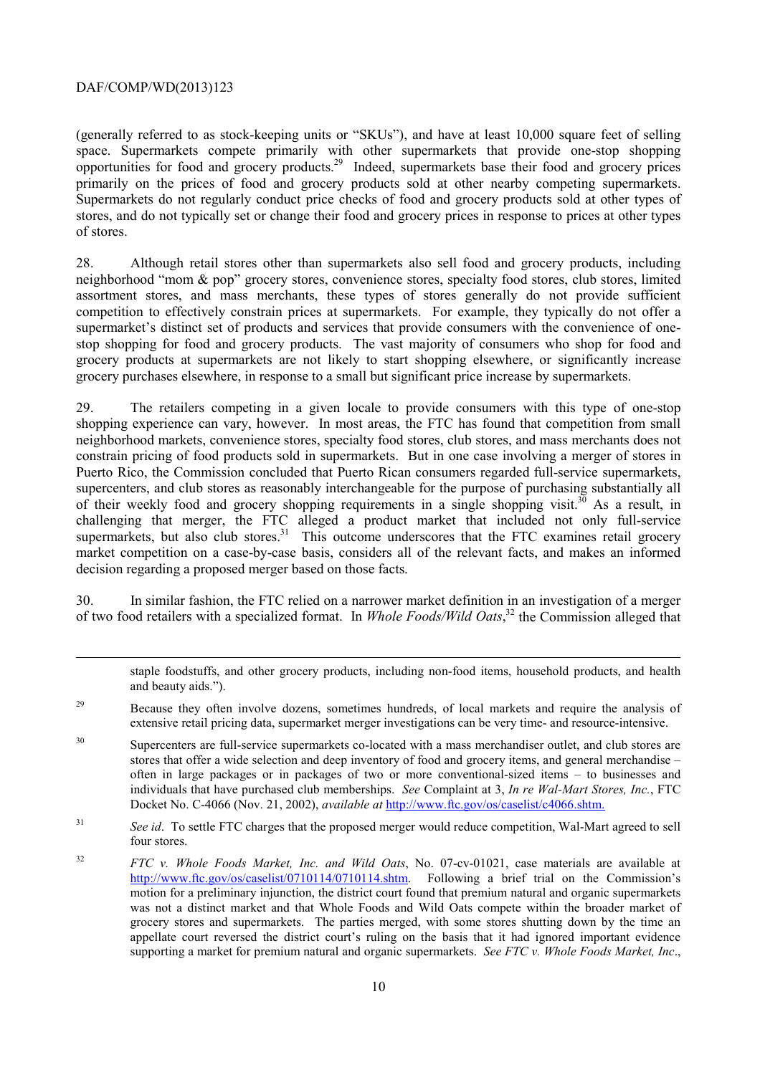-

primarily on the prices of food and grocery products sold at other nearby competing supermarkets. (generally referred to as stock-keeping units or "SKUs"), and have at least 10,000 square feet of selling space. Supermarkets compete primarily with other supermarkets that provide one-stop shopping opportunities for food and grocery products.29 Indeed, supermarkets base their food and grocery prices Supermarkets do not regularly conduct price checks of food and grocery products sold at other types of stores, and do not typically set or change their food and grocery prices in response to prices at other types of stores.

 stop shopping for food and grocery products. The vast majority of consumers who shop for food and 28. Although retail stores other than supermarkets also sell food and grocery products, including neighborhood "mom & pop" grocery stores, convenience stores, specialty food stores, club stores, limited assortment stores, and mass merchants, these types of stores generally do not provide sufficient competition to effectively constrain prices at supermarkets. For example, they typically do not offer a supermarket's distinct set of products and services that provide consumers with the convenience of onegrocery products at supermarkets are not likely to start shopping elsewhere, or significantly increase grocery purchases elsewhere, in response to a small but significant price increase by supermarkets.

supermarkets, but also club stores. $31$  This outcome underscores that the FTC examines retail grocery 29. The retailers competing in a given locale to provide consumers with this type of one-stop shopping experience can vary, however. In most areas, the FTC has found that competition from small neighborhood markets, convenience stores, specialty food stores, club stores, and mass merchants does not constrain pricing of food products sold in supermarkets. But in one case involving a merger of stores in Puerto Rico, the Commission concluded that Puerto Rican consumers regarded full-service supermarkets, supercenters, and club stores as reasonably interchangeable for the purpose of purchasing substantially all of their weekly food and grocery shopping requirements in a single shopping visit.<sup>30</sup> As a result, in challenging that merger, the FTC alleged a product market that included not only full-service market competition on a case-by-case basis, considers all of the relevant facts, and makes an informed decision regarding a proposed merger based on those facts.

30. In similar fashion, the FTC relied on a narrower market definition in an investigation of a merger of two food retailers with a specialized format. In *Whole Foods/Wild Oats*, 32 the Commission alleged that

 $31$ See id. To settle FTC charges that the proposed merger would reduce competition, Wal-Mart agreed to sell four stores.

staple foodstuffs, and other grocery products, including non-food items, household products, and health and beauty aids.").

<sup>&</sup>lt;sup>29</sup> Because they often involve dozens, sometimes hundreds, of local markets and require the analysis of extensive retail pricing data, supermarket merger investigations can be very time- and resource-intensive.

 individuals that have purchased club memberships. *See* Complaint at 3, *In re Wal-Mart Stores, Inc.*, FTC <sup>30</sup> Supercenters are full-service supermarkets co-located with a mass merchandiser outlet, and club stores are stores that offer a wide selection and deep inventory of food and grocery items, and general merchandise – often in large packages or in packages of two or more conventional-sized items – to businesses and Docket No. C-4066 (Nov. 21, 2002), *available at* http://www.ftc.gov/os/caselist/c4066.shtm.

 $32$ http://www.ftc.gov/os/caselist/0710114/0710114.shtm. Following a brief trial on the Commission's grocery stores and supermarkets. The parties merged, with some stores shutting down by the time an <sup>32</sup>*FTC v. Whole Foods Market, Inc. and Wild Oats*, No. 07-cv-01021, case materials are available at motion for a preliminary injunction, the district court found that premium natural and organic supermarkets was not a distinct market and that Whole Foods and Wild Oats compete within the broader market of appellate court reversed the district court's ruling on the basis that it had ignored important evidence supporting a market for premium natural and organic supermarkets. *See FTC v. Whole Foods Market, Inc*.,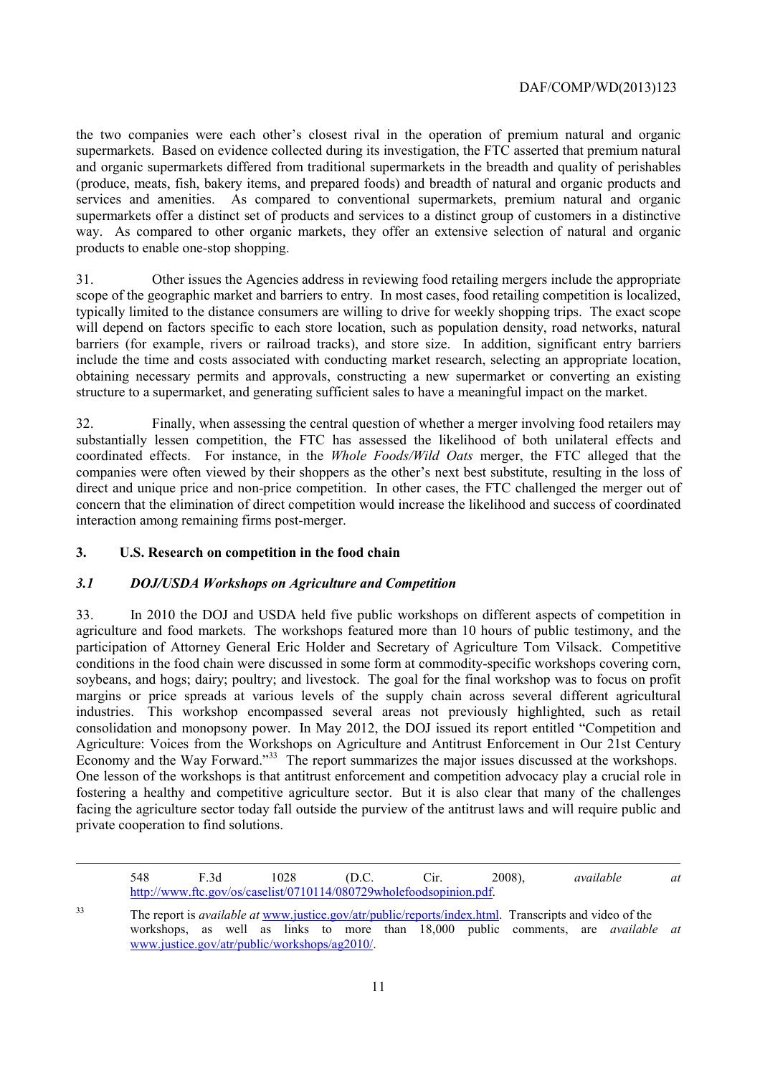products to enable one-stop shopping. the two companies were each other's closest rival in the operation of premium natural and organic supermarkets. Based on evidence collected during its investigation, the FTC asserted that premium natural and organic supermarkets differed from traditional supermarkets in the breadth and quality of perishables (produce, meats, fish, bakery items, and prepared foods) and breadth of natural and organic products and services and amenities. As compared to conventional supermarkets, premium natural and organic supermarkets offer a distinct set of products and services to a distinct group of customers in a distinctive way. As compared to other organic markets, they offer an extensive selection of natural and organic

 scope of the geographic market and barriers to entry. In most cases, food retailing competition is localized, products to enable one-stop shopping. 31. Other issues the Agencies address in reviewing food retailing mergers include the appropriate typically limited to the distance consumers are willing to drive for weekly shopping trips. The exact scope will depend on factors specific to each store location, such as population density, road networks, natural barriers (for example, rivers or railroad tracks), and store size. In addition, significant entry barriers include the time and costs associated with conducting market research, selecting an appropriate location, obtaining necessary permits and approvals, constructing a new supermarket or converting an existing structure to a supermarket, and generating sufficient sales to have a meaningful impact on the market.

32. Finally, when assessing the central question of whether a merger involving food retailers may substantially lessen competition, the FTC has assessed the likelihood of both unilateral effects and coordinated effects. For instance, in the *Whole Foods/Wild Oats* merger, the FTC alleged that the companies were often viewed by their shoppers as the other's next best substitute, resulting in the loss of direct and unique price and non-price competition. In other cases, the FTC challenged the merger out of concern that the elimination of direct competition would increase the likelihood and success of coordinated interaction among remaining firms post-merger.

#### **3. U.S. Research on competition in the food chain**

1

#### *3.1 DOJ/USDA Workshops on Agriculture and Competition*

33. In 2010 the DOJ and USDA held five public workshops on different aspects of competition in agriculture and food markets. The workshops featured more than 10 hours of public testimony, and the participation of Attorney General Eric Holder and Secretary of Agriculture Tom Vilsack. Competitive conditions in the food chain were discussed in some form at commodity-specific workshops covering corn, soybeans, and hogs; dairy; poultry; and livestock. The goal for the final workshop was to focus on profit margins or price spreads at various levels of the supply chain across several different agricultural industries. This workshop encompassed several areas not previously highlighted, such as retail consolidation and monopsony power. In May 2012, the DOJ issued its report entitled "Competition and Agriculture: Voices from the Workshops on Agriculture and Antitrust Enforcement in Our 21st Century Economy and the Way Forward."<sup>33</sup> The report summarizes the major issues discussed at the workshops. One lesson of the workshops is that antitrust enforcement and competition advocacy play a crucial role in fostering a healthy and competitive agriculture sector. But it is also clear that many of the challenges facing the agriculture sector today fall outside the purview of the antitrust laws and will require public and private cooperation to find solutions.

<sup>548</sup> F.3d 1028 (D.C. Cir. 2008), http://www.ftc.gov/os/caselist/0710114/080729wholefoodsopinion.pdf. *available at* 

workshops, as well as links to more than 18,000 public comments, are *available at* 33 The report is *available at* www.justice.gov/atr/public/reports/index.html. Transcripts and video of the www.justice.gov/atr/public/workshops/ag2010/.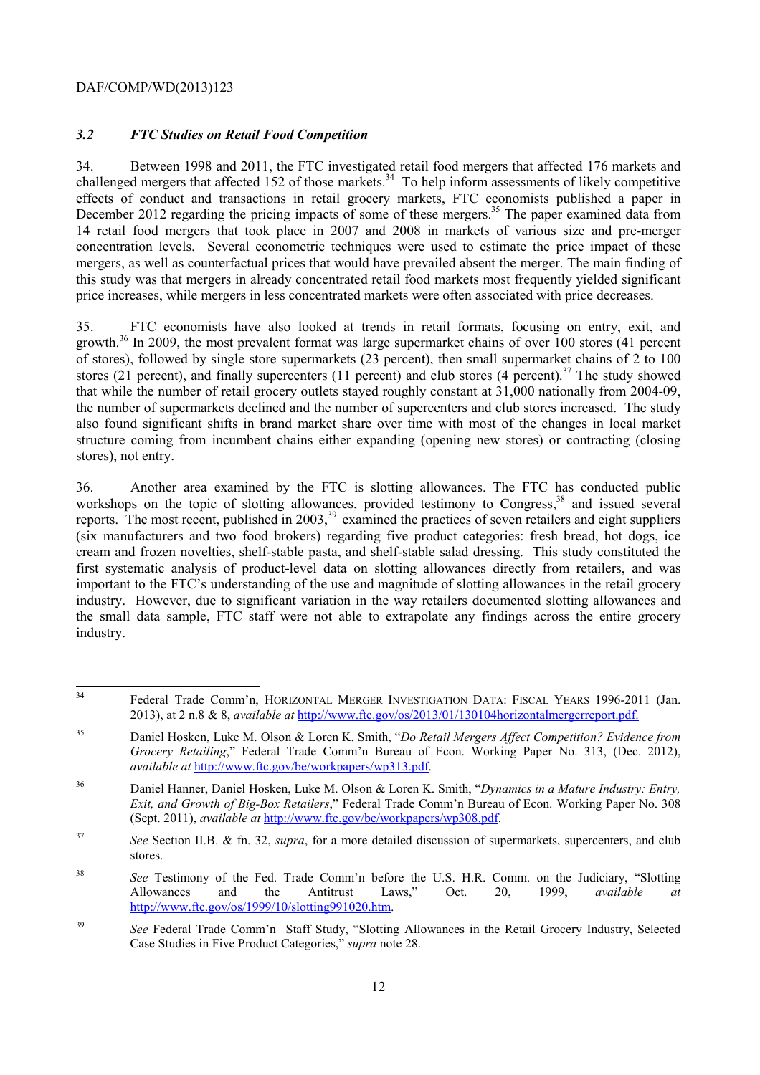### *3.2 FTC Studies on Retail Food Competition*

34. Between 1998 and 2011, the FTC investigated retail food mergers that affected 176 markets and challenged mergers that affected 152 of those markets.<sup>34</sup> To help inform assessments of likely competitive effects of conduct and transactions in retail grocery markets, FTC economists published a paper in December 2012 regarding the pricing impacts of some of these mergers.<sup>35</sup> The paper examined data from 14 retail food mergers that took place in 2007 and 2008 in markets of various size and pre-merger concentration levels. Several econometric techniques were used to estimate the price impact of these mergers, as well as counterfactual prices that would have prevailed absent the merger. The main finding of this study was that mergers in already concentrated retail food markets most frequently yielded significant price increases, while mergers in less concentrated markets were often associated with price decreases.

stores), not entry. 35. FTC economists have also looked at trends in retail formats, focusing on entry, exit, and growth.36 In 2009, the most prevalent format was large supermarket chains of over 100 stores (41 percent of stores), followed by single store supermarkets (23 percent), then small supermarket chains of 2 to 100 stores (21 percent), and finally supercenters (11 percent) and club stores (4 percent).<sup>37</sup> The study showed that while the number of retail grocery outlets stayed roughly constant at 31,000 nationally from 2004-09, the number of supermarkets declined and the number of supercenters and club stores increased. The study also found significant shifts in brand market share over time with most of the changes in local market structure coming from incumbent chains either expanding (opening new stores) or contracting (closing

industry. 36. Another area examined by the FTC is slotting allowances. The FTC has conducted public workshops on the topic of slotting allowances, provided testimony to Congress,<sup>38</sup> and issued several reports. The most recent, published in 2003,<sup>39</sup> examined the practices of seven retailers and eight suppliers (six manufacturers and two food brokers) regarding five product categories: fresh bread, hot dogs, ice cream and frozen novelties, shelf-stable pasta, and shelf-stable salad dressing. This study constituted the first systematic analysis of product-level data on slotting allowances directly from retailers, and was important to the FTC's understanding of the use and magnitude of slotting allowances in the retail grocery industry. However, due to significant variation in the way retailers documented slotting allowances and the small data sample, FTC staff were not able to extrapolate any findings across the entire grocery

 $34$ Federal Trade Comm'n, HORIZONTAL MERGER INVESTIGATION DATA: FISCAL YEARS 1996-2011 (Jan. 2013), at 2 n.8 & 8, *available at* http://www.ftc.gov/os/2013/01/130104horizontalmergerreport.pdf.

<sup>35</sup> Daniel Hosken, Luke M. Olson & Loren K. Smith, "*Do Retail Mergers Affect Competition? Evidence from Grocery Retailing*," Federal Trade Comm'n Bureau of Econ. Working Paper No. 313, (Dec. 2012), *available at* http://www.ftc.gov/be/workpapers/wp313.pdf.

<sup>36</sup> 36 Daniel Hanner, Daniel Hosken, Luke M. Olson & Loren K. Smith, "*Dynamics in a Mature Industry: Entry, Exit, and Growth of Big-Box Retailers*," Federal Trade Comm'n Bureau of Econ. Working Paper No. 308 (Sept. 2011), *available at* http://www.ftc.gov/be/workpapers/wp308.pdf.

stores. <sup>37</sup>*See* Section II.B. & fn. 32, *supra*, for a more detailed discussion of supermarkets, supercenters, and club

<sup>38</sup> the See Testimony of the Fed. Trade Comm'n before the U.S. H.R. Comm. on the Judiciary, "Slotting" Allowances and the Antitrust Laws," Oct. 20, 1999, *available at*  http://www.ftc.gov/os/1999/10/slotting991020.htm.

<sup>39</sup>*See* Federal Trade Comm'n Staff Study, "Slotting Allowances in the Retail Grocery Industry, Selected Case Studies in Five Product Categories," *supra* note 28.